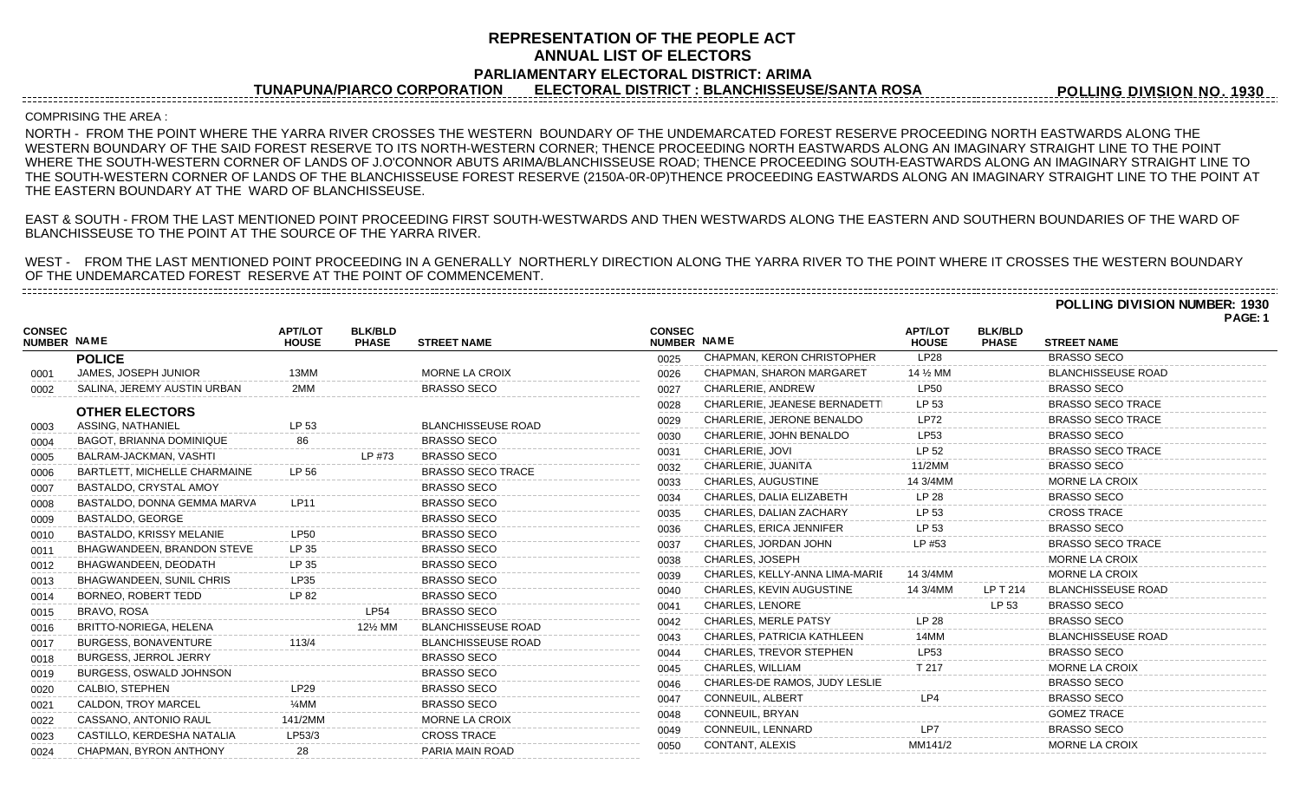## **REPRESENTATION OF THE PEOPLE ACT ANNUAL LIST OF ELECTORS PARLIAMENTARY ELECTORAL DISTRICT: ARIMA**

**TUNAPUNA/PIARCO CORPORATION ELECTORAL DISTRICT : BLANCHISSEUSE/SANTA ROSA**

**POLLING DIVISION NO. 1930**

## COMPRISING THE AREA :

NORTH - FROM THE POINT WHERE THE YARRA RIVER CROSSES THE WESTERN BOUNDARY OF THE UNDEMARCATED FOREST RESERVE PROCEEDING NORTH EASTWARDS ALONG THE WESTERN BOUNDARY OF THE SAID FOREST RESERVE TO ITS NORTH-WESTERN CORNER; THENCE PROCEEDING NORTH EASTWARDS ALONG AN IMAGINARY STRAIGHT LINE TO THE POINT WHERE THE SOUTH-WESTERN CORNER OF LANDS OF J.O'CONNOR ABUTS ARIMA/BLANCHISSEUSE ROAD; THENCE PROCEEDING SOUTH-EASTWARDS ALONG AN IMAGINARY STRAIGHT LINE TO THE SOUTH-WESTERN CORNER OF LANDS OF THE BLANCHISSEUSE FOREST RESERVE (2150A-0R-0P)THENCE PROCEEDING EASTWARDS ALONG AN IMAGINARY STRAIGHT LINE TO THE POINT AT THE EASTERN BOUNDARY AT THE WARD OF BLANCHISSEUSE.

EAST & SOUTH - FROM THE LAST MENTIONED POINT PROCEEDING FIRST SOUTH-WESTWARDS AND THEN WESTWARDS ALONG THE EASTERN AND SOUTHERN BOUNDARIES OF THE WARD OF BLANCHISSEUSE TO THE POINT AT THE SOURCE OF THE YARRA RIVER.

WEST - FROM THE LAST MENTIONED POINT PROCEEDING IN A GENERALLY NORTHERLY DIRECTION ALONG THE YARRA RIVER TO THE POINT WHERE IT CROSSES THE WESTERN BOUNDARY OF THE UNDEMARCATED FOREST RESERVE AT THE POINT OF COMMENCEMENT.

**POLLING DIVISION NUMBER: 1930**

**PAGE: 1**

|                                     |                                 |                                |                                   |                           |                              |                                 |                                |                                |                           | , <u>nul</u> . |
|-------------------------------------|---------------------------------|--------------------------------|-----------------------------------|---------------------------|------------------------------|---------------------------------|--------------------------------|--------------------------------|---------------------------|----------------|
| <b>CONSEC</b><br><b>NUMBER NAME</b> |                                 | <b>APT/LOT</b><br><b>HOUSE</b> | <b>BLK/BLD</b><br><b>PHASE</b>    | <b>STREET NAME</b>        | <b>CONSEC</b><br>NUMBER NAME |                                 | <b>APT/LOT</b><br><b>HOUSE</b> | <b>BLK/BLD</b><br><b>PHASE</b> | <b>STREET NAME</b>        |                |
|                                     | <b>POLICE</b>                   |                                |                                   |                           | 0025                         | CHAPMAN, KERON CHRISTOPHER      | LP28                           |                                | <b>BRASSO SECO</b>        |                |
| 0001                                | JAMES, JOSEPH JUNIOR            | 13MM                           |                                   | MORNE LA CROIX            | 0026                         | <b>CHAPMAN, SHARON MARGARET</b> | 14 % MM                        |                                | <b>BLANCHISSEUSE ROAD</b> |                |
| 0002                                | SALINA, JEREMY AUSTIN URBAN     | 2MM                            |                                   | <b>BRASSO SECO</b>        | 0027                         | CHARLERIE, ANDREW               | <b>LP50</b>                    |                                | <b>BRASSO SECO</b>        |                |
|                                     | <b>OTHER ELECTORS</b>           |                                |                                   |                           | 0028                         | CHARLERIE, JEANESE BERNADETTI   | LP 53                          |                                | <b>BRASSO SECO TRACE</b>  |                |
| 0003                                | ASSING, NATHANIEL               | LP 53                          |                                   | <b>BLANCHISSEUSE ROAD</b> | 0029                         | CHARLERIE, JERONE BENALDO       | <b>LP72</b>                    |                                | <b>BRASSO SECO TRACE</b>  |                |
| 0004                                | <b>BAGOT, BRIANNA DOMINIQUE</b> |                                |                                   | BRASSO SECO               | 0030                         | CHARLERIE, JOHN BENALDO         | <b>LP53</b>                    |                                | <b>BRASSO SECO</b>        |                |
| 0005                                | BALRAM-JACKMAN, VASHTI          |                                | LP #73                            | <b>BRASSO SECO</b>        | 0031                         | CHARLERIE, JOVI                 | LP 52                          |                                | <b>BRASSO SECO TRACE</b>  |                |
| 0006                                | BARTLETT, MICHELLE CHARMAINE    | LP 56                          |                                   | <b>BRASSO SECO TRACE</b>  | 0032                         | CHARLERIE, JUANITA              | 11/2MM                         |                                | <b>BRASSO SECO</b>        |                |
| 0007                                | BASTALDO, CRYSTAL AMOY          |                                |                                   | <b>BRASSO SECO</b>        | 0033                         | CHARLES, AUGUSTINE              | 14 3/4MM                       |                                | <b>MORNE LA CROIX</b>     |                |
| 0008                                | BASTALDO, DONNA GEMMA MARVA     | LP11                           |                                   | <b>BRASSO SECO</b>        | 0034                         | CHARLES, DALIA ELIZABETH        | LP 28                          |                                | <b>BRASSO SECO</b>        |                |
| 0009                                | BASTALDO, GEORGE                |                                |                                   | <b>BRASSO SECO</b>        | 0035                         | CHARLES, DALIAN ZACHARY         | LP 53                          |                                | <b>CROSS TRACE</b>        |                |
| 0010                                | BASTALDO, KRISSY MELANIE        | LP50                           |                                   | <b>BRASSO SECO</b>        | 0036                         | CHARLES, ERICA JENNIFER         | LP 53                          |                                | <b>BRASSO SECO</b>        |                |
| 0011                                | BHAGWANDEEN, BRANDON STEVE      | LP 35                          |                                   | <b>BRASSO SECO</b>        | 0037                         | CHARLES, JORDAN JOHN            | LP #53                         |                                | <b>BRASSO SECO TRACE</b>  |                |
| 0012                                | BHAGWANDEEN, DEODATH            | LP 35                          |                                   | <b>BRASSO SECO</b>        | 0038                         | CHARLES, JOSEPH                 |                                |                                | <b>MORNE LA CROIX</b>     |                |
| 0013                                | BHAGWANDEEN, SUNIL CHRIS        | LP35                           |                                   | <b>BRASSO SECO</b>        | 0039                         | CHARLES, KELLY-ANNA LIMA-MARIE  | 14 3/4MM                       |                                | MORNE LA CROIX            |                |
| 0014                                | BORNEO, ROBERT TEDD             | LP 82                          |                                   | <b>BRASSO SECO</b>        | 0040                         | CHARLES, KEVIN AUGUSTINE        | 14 3/4MM                       | LP T 214                       | <b>BLANCHISSEUSE ROAD</b> |                |
| 0015                                | BRAVO, ROSA                     |                                | <b>LP54</b>                       | <b>BRASSO SECO</b>        | 0041                         | <b>CHARLES, LENORE</b>          |                                | LP 53                          | <b>BRASSO SECO</b>        |                |
| 0016                                | BRITTO-NORIEGA, HELENA          |                                | 12 <sup>1</sup> / <sub>2</sub> MM | <b>BLANCHISSEUSE ROAD</b> | 0042                         | <b>CHARLES, MERLE PATSY</b>     | LP 28                          |                                | <b>BRASSO SECO</b>        |                |
| 0017                                | BURGESS, BONAVENTURE            |                                |                                   | <b>BLANCHISSEUSE ROAD</b> | 0043                         | CHARLES, PATRICIA KATHLEEN      | 14MM                           |                                | <b>BLANCHISSEUSE ROAD</b> |                |
| 0018                                | BURGESS, JERROL JERRY           |                                |                                   | <b>BRASSO SECO</b>        | 0044                         | <b>CHARLES, TREVOR STEPHEN</b>  | LP53                           |                                | <b>BRASSO SECO</b>        |                |
| 0019                                | <b>BURGESS, OSWALD JOHNSON</b>  |                                |                                   | <b>BRASSO SECO</b>        | 0045                         | CHARLES, WILLIAM                | T 217                          |                                | MORNE LA CROIX            |                |
| 0020                                | CALBIO, STEPHEN                 | <b>LP29</b>                    |                                   | <b>BRASSO SECO</b>        | 0046                         | CHARLES-DE RAMOS, JUDY LESLIE   |                                |                                | <b>BRASSO SECO</b>        |                |
| 0021                                | CALDON, TROY MARCEL             | $\frac{1}{4}$ MM               |                                   | <b>BRASSO SECO</b>        | 0047                         | CONNEUIL, ALBERT                | LP4                            |                                | <b>BRASSO SECO</b>        |                |
| 0022                                | CASSANO, ANTONIO RAUL           | 141/2MM                        |                                   | MORNE LA CROIX            | 0048                         | CONNEUIL, BRYAN                 |                                |                                | <b>GOMEZ TRACE</b>        |                |
| 0023                                | CASTILLO, KERDESHA NATALIA      | LP53/3                         |                                   | <b>CROSS TRACE</b>        | 0049                         | CONNEUIL, LENNARD               | LP7                            |                                | <b>BRASSO SECO</b>        |                |
| 0024                                | CHAPMAN, BYRON ANTHONY          | 28                             |                                   | PARIA MAIN ROAD           | 0050                         | CONTANT, ALEXIS                 | MM141/2                        |                                | <b>MORNE LA CROIX</b>     |                |
|                                     |                                 |                                |                                   |                           |                              |                                 |                                |                                |                           |                |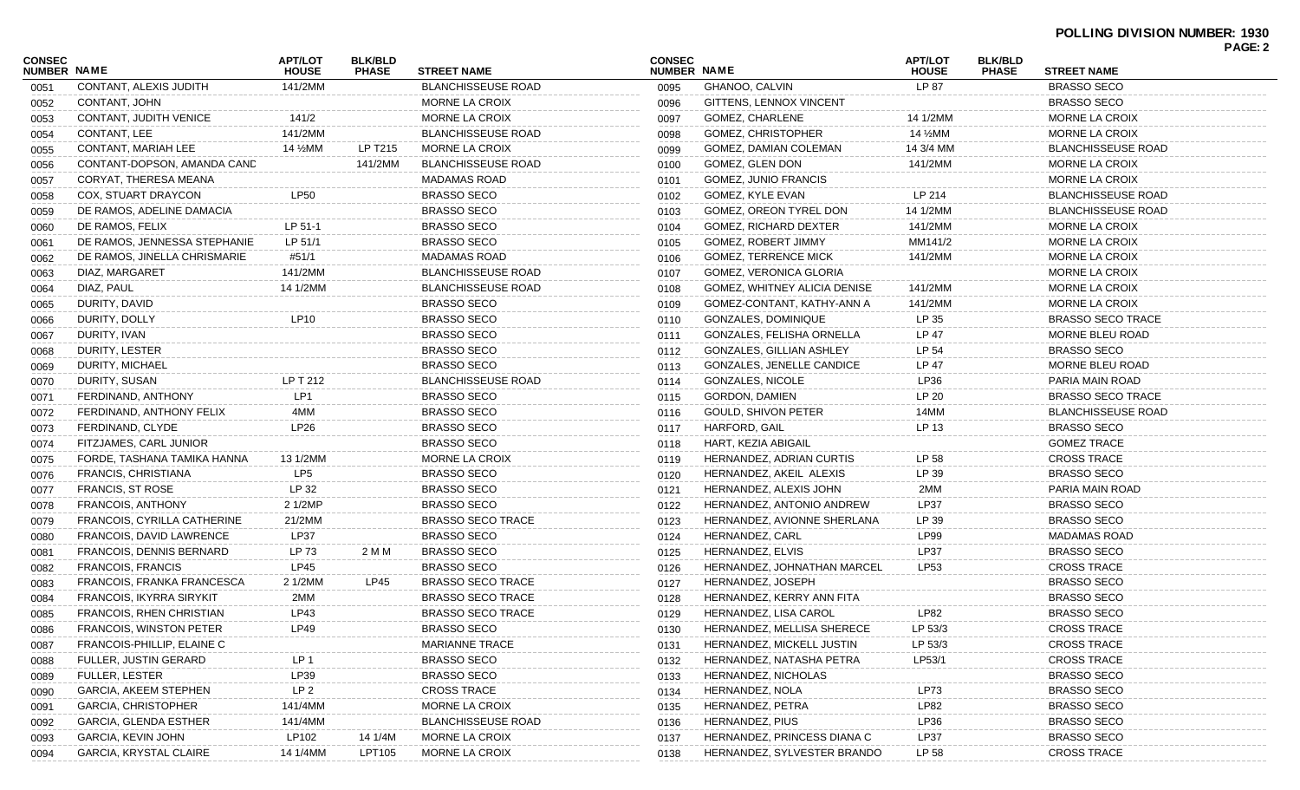## **POLLING DIVISION NUMBER: 1930 PAGE: 2**

| <b>CONSEC</b><br>NUMBER NAME |                               | <b>APT/LOT</b><br><b>HOUSE</b> | <b>BLK/BLD</b><br><b>PHASE</b> | <b>STREET NAME</b>        | <b>CONSEC</b><br><b>NUMBER NAME</b> |                                  | <b>APT/LOT</b><br><b>HOUSE</b> | <b>BLK/BLD</b><br><b>PHASE</b> | <b>STREET NAME</b>        | <b>FAGL.4</b> |
|------------------------------|-------------------------------|--------------------------------|--------------------------------|---------------------------|-------------------------------------|----------------------------------|--------------------------------|--------------------------------|---------------------------|---------------|
| 0051                         | CONTANT, ALEXIS JUDITH        | 141/2MM                        |                                | <b>BLANCHISSEUSE ROAD</b> | 0095                                | GHANOO, CALVIN                   | LP 87                          |                                | <b>BRASSO SECO</b>        |               |
| 0052                         | CONTANT, JOHN                 |                                |                                | MORNE LA CROIX            | 0096                                | GITTENS, LENNOX VINCENT          |                                |                                | <b>BRASSO SECO</b>        |               |
| 0053                         | <b>CONTANT, JUDITH VENICE</b> | 141/2                          |                                | MORNE LA CROIX            | 0097                                | <b>GOMEZ, CHARLENE</b>           | 14 1/2MM                       |                                | MORNE LA CROIX            |               |
| 0054                         | CONTANT, LEE                  | 141/2MM                        |                                | <b>BLANCHISSEUSE ROAD</b> | 0098                                | <b>GOMEZ, CHRISTOPHER</b>        | 14 ½MM                         |                                | MORNE LA CROIX            |               |
| 0055                         | CONTANT, MARIAH LEE           | 14 ½MM                         | LP T215                        | MORNE LA CROIX            | 0099                                | GOMEZ, DAMIAN COLEMAN            | 14 3/4 MM                      |                                | <b>BLANCHISSEUSE ROAD</b> |               |
| 0056                         | CONTANT-DOPSON, AMANDA CAND   |                                | 141/2MM                        | <b>BLANCHISSEUSE ROAD</b> | 0100                                | GOMEZ, GLEN DON                  | 141/2MM                        |                                | MORNE LA CROIX            |               |
| 0057                         | CORYAT, THERESA MEANA         |                                |                                | <b>MADAMAS ROAD</b>       | 0101                                | GOMEZ, JUNIO FRANCIS             |                                |                                | MORNE LA CROIX            |               |
| 0058                         | COX, STUART DRAYCON           | <b>LP50</b>                    |                                | <b>BRASSO SECO</b>        | 0102                                | GOMEZ, KYLE EVAN                 | LP 214                         |                                | <b>BLANCHISSEUSE ROAD</b> |               |
| 0059                         | DE RAMOS, ADELINE DAMACIA     |                                |                                | <b>BRASSO SECO</b>        | 0103                                | GOMEZ, OREON TYREL DON           | 14 1/2MM                       |                                | <b>BLANCHISSEUSE ROAD</b> |               |
| 0060                         | DE RAMOS, FELIX               | LP 51-1                        |                                | <b>BRASSO SECO</b>        | 0104                                | GOMEZ, RICHARD DEXTER            | 141/2MM                        |                                | MORNE LA CROIX            |               |
| 0061                         | DE RAMOS, JENNESSA STEPHANIE  | LP 51/1                        |                                | <b>BRASSO SECO</b>        | 0105                                | GOMEZ, ROBERT JIMMY              | MM141/2                        |                                | MORNE LA CROIX            |               |
| 0062                         | DE RAMOS, JINELLA CHRISMARIE  | #51/1                          |                                | <b>MADAMAS ROAD</b>       | 0106                                | <b>GOMEZ, TERRENCE MICK</b>      | 141/2MM                        |                                | MORNE LA CROIX            |               |
| 0063                         | DIAZ, MARGARET                | 141/2MM                        |                                | <b>BLANCHISSEUSE ROAD</b> | 0107                                | GOMEZ, VERONICA GLORIA           |                                |                                | MORNE LA CROIX            |               |
| 0064                         | DIAZ, PAUL                    | 14 1/2MM                       |                                | <b>BLANCHISSEUSE ROAD</b> | 0108                                | GOMEZ, WHITNEY ALICIA DENISE     | 141/2MM                        |                                | MORNE LA CROIX            |               |
| 0065                         | DURITY, DAVID                 |                                |                                | <b>BRASSO SECO</b>        | 0109                                | GOMEZ-CONTANT, KATHY-ANN A       | 141/2MM                        |                                | MORNE LA CROIX            |               |
| 0066                         | DURITY, DOLLY                 | LP10                           |                                | <b>BRASSO SECO</b>        | 0110                                | <b>GONZALES, DOMINIQUE</b>       | LP 35                          |                                | <b>BRASSO SECO TRACE</b>  |               |
| 0067                         | DURITY, IVAN                  |                                |                                | <b>BRASSO SECO</b>        | 0111                                | GONZALES, FELISHA ORNELLA        | LP 47                          |                                | MORNE BLEU ROAD           |               |
| 0068                         | DURITY, LESTER                |                                |                                | <b>BRASSO SECO</b>        | 0112                                | GONZALES, GILLIAN ASHLEY         | LP 54                          |                                | <b>BRASSO SECO</b>        |               |
| 0069                         | DURITY, MICHAEL               |                                |                                | <b>BRASSO SECO</b>        | 0113                                | <b>GONZALES, JENELLE CANDICE</b> | LP 47                          |                                | MORNE BLEU ROAD           |               |
| 0070                         | DURITY, SUSAN                 | LP T 212                       |                                | <b>BLANCHISSEUSE ROAD</b> | 0114                                | <b>GONZALES, NICOLE</b>          | LP36                           |                                | PARIA MAIN ROAD           |               |
| 0071                         | FERDINAND, ANTHONY            | LP1                            |                                | <b>BRASSO SECO</b>        | 0115                                | <b>GORDON, DAMIEN</b>            | LP 20                          |                                | <b>BRASSO SECO TRACE</b>  |               |
| 0072                         | FERDINAND, ANTHONY FELIX      | 4MM                            |                                | <b>BRASSO SECO</b>        | 0116                                | <b>GOULD, SHIVON PETER</b>       | 14MM                           |                                | <b>BLANCHISSEUSE ROAD</b> |               |
| 0073                         | FERDINAND, CLYDE              | <b>LP26</b>                    |                                | <b>BRASSO SECO</b>        | 0117                                | HARFORD, GAIL                    | LP 13                          |                                | <b>BRASSO SECO</b>        |               |
| 0074                         | FITZJAMES, CARL JUNIOR        |                                |                                | <b>BRASSO SECO</b>        | 0118                                | HART, KEZIA ABIGAIL              |                                |                                | <b>GOMEZ TRACE</b>        |               |
| 0075                         | FORDE, TASHANA TAMIKA HANNA   | 13 1/2MM                       |                                | MORNE LA CROIX            | 0119                                | HERNANDEZ, ADRIAN CURTIS         | LP 58                          |                                | <b>CROSS TRACE</b>        |               |
| 0076                         | FRANCIS, CHRISTIANA           | LP <sub>5</sub>                |                                | <b>BRASSO SECO</b>        | 0120                                | HERNANDEZ, AKEIL ALEXIS          | LP 39                          |                                | <b>BRASSO SECO</b>        |               |
| 0077                         | <b>FRANCIS, ST ROSE</b>       | LP 32                          |                                | <b>BRASSO SECO</b>        | 0121                                | HERNANDEZ, ALEXIS JOHN           | 2MM                            |                                | PARIA MAIN ROAD           |               |
| 0078                         | <b>FRANCOIS, ANTHONY</b>      | 2 1/2MP                        |                                | <b>BRASSO SECO</b>        | 0122                                | HERNANDEZ, ANTONIO ANDREW        | LP37                           |                                | <b>BRASSO SECO</b>        |               |
| 0079                         | FRANCOIS, CYRILLA CATHERINE   | 21/2MM                         |                                | <b>BRASSO SECO TRACE</b>  | 0123                                | HERNANDEZ, AVIONNE SHERLANA      | LP 39                          |                                | <b>BRASSO SECO</b>        |               |
| 0080                         | FRANCOIS, DAVID LAWRENCE      | <b>LP37</b>                    |                                | <b>BRASSO SECO</b>        | 0124                                | HERNANDEZ, CARL                  | LP99                           |                                | <b>MADAMAS ROAD</b>       |               |
| 0081                         | FRANCOIS, DENNIS BERNARD      | LP 73                          | 2 M M                          | <b>BRASSO SECO</b>        | 0125                                | HERNANDEZ, ELVIS                 | <b>LP37</b>                    |                                | <b>BRASSO SECO</b>        |               |
| 0082                         | <b>FRANCOIS, FRANCIS</b>      | LP45                           |                                | <b>BRASSO SECO</b>        | 0126                                | HERNANDEZ, JOHNATHAN MARCEL      | LP53                           |                                | <b>CROSS TRACE</b>        |               |
| 0083                         | FRANCOIS, FRANKA FRANCESCA    | 2 1/2MM                        | LP45                           | <b>BRASSO SECO TRACE</b>  | 0127                                | HERNANDEZ, JOSEPH                |                                |                                | <b>BRASSO SECO</b>        |               |
| 0084                         | FRANCOIS, IKYRRA SIRYKIT      | 2MM                            |                                | <b>BRASSO SECO TRACE</b>  | 0128                                | HERNANDEZ, KERRY ANN FITA        |                                |                                | <b>BRASSO SECO</b>        |               |
| 0085                         | FRANCOIS, RHEN CHRISTIAN      | LP43                           |                                | <b>BRASSO SECO TRACE</b>  | 0129                                | <b>HERNANDEZ, LISA CAROL</b>     | LP82                           |                                | <b>BRASSO SECO</b>        |               |
| 0086                         | FRANCOIS, WINSTON PETER       | <b>LP49</b>                    |                                | BRASSO SECO               | 0130                                | HERNANDEZ, MELLISA SHERECE       | LP 53/3                        |                                | CROSS TRACE               |               |
| 0087                         | FRANCOIS-PHILLIP, ELAINE C    |                                |                                | <b>MARIANNE TRACE</b>     | 0131                                | HERNANDEZ, MICKELL JUSTIN        | LP 53/3                        |                                | <b>CROSS TRACE</b>        |               |
| 0088                         | <b>FULLER, JUSTIN GERARD</b>  | LP 1                           |                                | <b>BRASSO SECO</b>        | 0132                                | HERNANDEZ, NATASHA PETRA         | LP53/1                         |                                | <b>CROSS TRACE</b>        |               |
| 0089                         | <b>FULLER, LESTER</b>         | LP39                           |                                | <b>BRASSO SECO</b>        | 0133                                | HERNANDEZ, NICHOLAS              |                                |                                | <b>BRASSO SECO</b>        |               |
| 0090                         | <b>GARCIA, AKEEM STEPHEN</b>  | LP <sub>2</sub>                |                                | <b>CROSS TRACE</b>        | 0134                                | HERNANDEZ, NOLA                  | LP73                           |                                | <b>BRASSO SECO</b>        |               |
| 0091                         | <b>GARCIA, CHRISTOPHER</b>    | 141/4MM                        |                                | MORNE LA CROIX            | 0135                                | HERNANDEZ, PETRA                 | LP82                           |                                | <b>BRASSO SECO</b>        |               |
| 0092                         | GARCIA, GLENDA ESTHER         | 141/4MM                        |                                | <b>BLANCHISSEUSE ROAD</b> | 0136                                | HERNANDEZ, PIUS                  | LP36                           |                                | <b>BRASSO SECO</b>        |               |
| 0093                         | <b>GARCIA, KEVIN JOHN</b>     | LP102                          | 14 1/4M                        | MORNE LA CROIX            | 0137                                | HERNANDEZ, PRINCESS DIANA C      | LP37                           |                                | <b>BRASSO SECO</b>        |               |
|                              | <b>GARCIA, KRYSTAL CLAIRE</b> | 14 1/4MM                       | LPT105                         | MORNE LA CROIX            |                                     | HERNANDEZ, SYLVESTER BRANDO      | LP 58                          |                                | <b>CROSS TRACE</b>        |               |
| 0094                         |                               |                                |                                |                           | 0138                                |                                  |                                |                                |                           |               |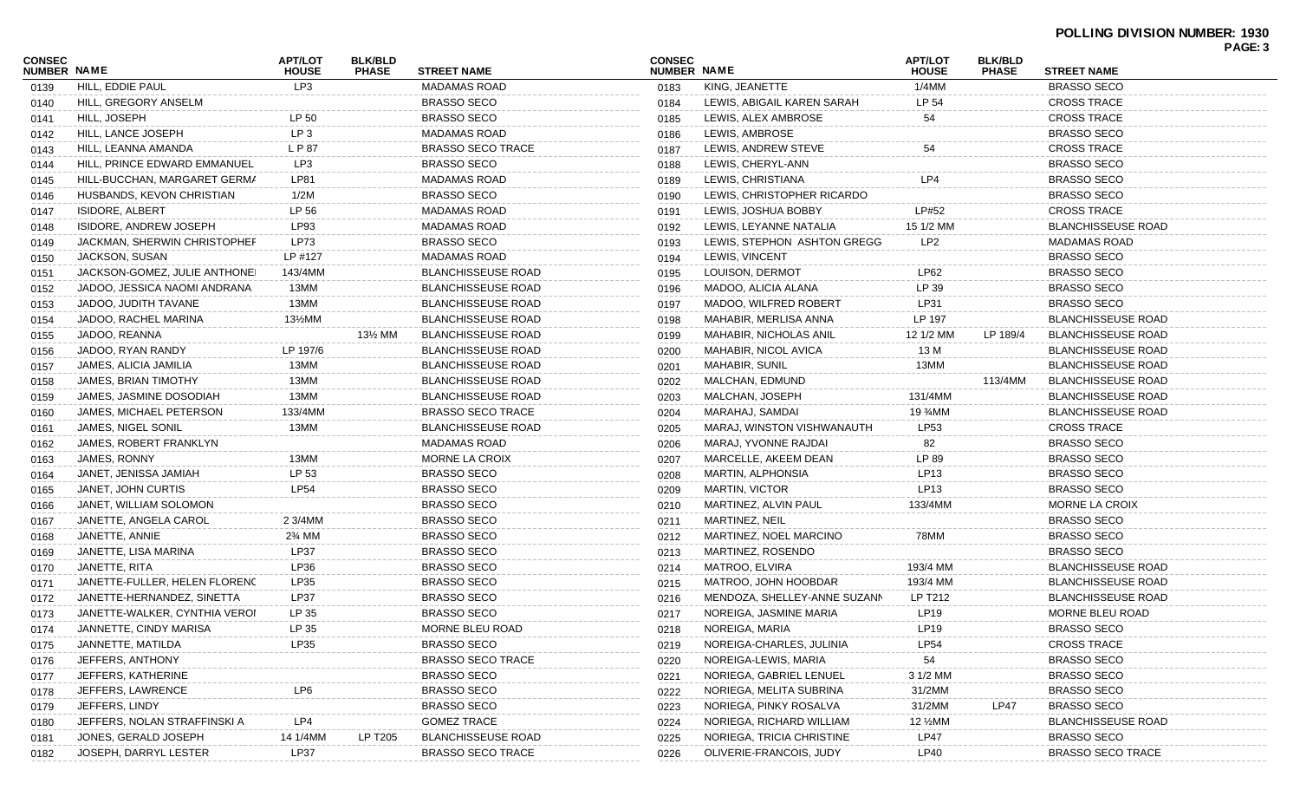| <b>CONSEC</b> |                               | <b>APT/LOT</b><br><b>BLK/BLD</b><br><b>CONSEC</b><br>NUMBER NAME<br><b>PHASE</b><br><b>STREET NAME</b><br><b>HOUSE</b> |              |                           |                    |                              | <b>APT/LOT</b>                    | <b>BLK/BLD</b> |                           | PAGE: 3 |
|---------------|-------------------------------|------------------------------------------------------------------------------------------------------------------------|--------------|---------------------------|--------------------|------------------------------|-----------------------------------|----------------|---------------------------|---------|
| NUMBER NAME   |                               |                                                                                                                        | <b>HOUSE</b> | <b>PHASE</b>              | <b>STREET NAME</b> |                              |                                   |                |                           |         |
| 0139          | HILL, EDDIE PAUL              | LP3                                                                                                                    |              | <b>MADAMAS ROAD</b>       | 0183               | KING, JEANETTE               | 1/4MM                             |                | <b>BRASSO SECO</b>        |         |
| 0140          | HILL, GREGORY ANSELM          |                                                                                                                        |              | <b>BRASSO SECO</b>        | 0184               | LEWIS, ABIGAIL KAREN SARAH   | LP 54                             |                | <b>CROSS TRACE</b>        |         |
| 0141          | HILL, JOSEPH                  | LP 50                                                                                                                  |              | <b>BRASSO SECO</b>        | 0185               | LEWIS, ALEX AMBROSE          | 54                                |                | <b>CROSS TRACE</b>        |         |
| 0142          | HILL, LANCE JOSEPH            | LP <sub>3</sub>                                                                                                        |              | <b>MADAMAS ROAD</b>       | 0186               | LEWIS, AMBROSE               |                                   |                | <b>BRASSO SECO</b>        |         |
| 0143          | HILL, LEANNA AMANDA           | L P 87                                                                                                                 |              | <b>BRASSO SECO TRACE</b>  | 0187               | LEWIS, ANDREW STEVE          | 54                                |                | <b>CROSS TRACE</b>        |         |
| 0144          | HILL, PRINCE EDWARD EMMANUEL  | LP3                                                                                                                    |              | <b>BRASSO SECO</b>        | 0188               | LEWIS, CHERYL-ANN            |                                   |                | <b>BRASSO SECO</b>        |         |
| 0145          | HILL-BUCCHAN, MARGARET GERMA  | LP81                                                                                                                   |              | <b>MADAMAS ROAD</b>       | 0189               | LEWIS, CHRISTIANA            | LP4                               |                | <b>BRASSO SECO</b>        |         |
| 0146          | HUSBANDS, KEVON CHRISTIAN     | 1/2M                                                                                                                   |              | <b>BRASSO SECO</b>        | 0190               | LEWIS, CHRISTOPHER RICARDO   |                                   |                | <b>BRASSO SECO</b>        |         |
| 0147          | <b>ISIDORE, ALBERT</b>        | LP 56                                                                                                                  |              | <b>MADAMAS ROAD</b>       | 0191               | LEWIS, JOSHUA BOBBY          | LP#52                             |                | <b>CROSS TRACE</b>        |         |
| 0148          | ISIDORE, ANDREW JOSEPH        | LP93                                                                                                                   |              | <b>MADAMAS ROAD</b>       | 0192               | LEWIS, LEYANNE NATALIA       | 15 1/2 MM                         |                | <b>BLANCHISSEUSE ROAD</b> |         |
| 0149          | JACKMAN, SHERWIN CHRISTOPHEF  | LP73                                                                                                                   |              | <b>BRASSO SECO</b>        | 0193               | LEWIS, STEPHON ASHTON GREGG  | LP <sub>2</sub>                   |                | <b>MADAMAS ROAD</b>       |         |
| 0150          | JACKSON, SUSAN                | LP #127                                                                                                                |              | <b>MADAMAS ROAD</b>       | 0194               | LEWIS, VINCENT               |                                   |                | <b>BRASSO SECO</b>        |         |
| 0151          | JACKSON-GOMEZ, JULIE ANTHONEI | 143/4MM                                                                                                                |              | <b>BLANCHISSEUSE ROAD</b> | 0195               | LOUISON, DERMOT              | LP62                              |                | <b>BRASSO SECO</b>        |         |
| 0152          | JADOO, JESSICA NAOMI ANDRANA  | 13MM                                                                                                                   |              | <b>BLANCHISSEUSE ROAD</b> | 0196               | MADOO, ALICIA ALANA          | LP 39                             |                | <b>BRASSO SECO</b>        |         |
| 0153          | JADOO, JUDITH TAVANE          | 13MM                                                                                                                   |              | <b>BLANCHISSEUSE ROAD</b> | 0197               | MADOO, WILFRED ROBERT        | LP31                              |                | <b>BRASSO SECO</b>        |         |
| 0154          | JADOO, RACHEL MARINA          | 13½MM                                                                                                                  |              | <b>BLANCHISSEUSE ROAD</b> | 0198               | MAHABIR, MERLISA ANNA        | LP 197                            |                | <b>BLANCHISSEUSE ROAD</b> |         |
| 0155          | JADOO, REANNA                 |                                                                                                                        | 13½ MM       | <b>BLANCHISSEUSE ROAD</b> | 0199               | MAHABIR. NICHOLAS ANIL       | 12 1/2 MM                         | LP 189/4       | <b>BLANCHISSEUSE ROAD</b> |         |
| 0156          | JADOO, RYAN RANDY             | LP 197/6                                                                                                               |              | <b>BLANCHISSEUSE ROAD</b> | 0200               | MAHABIR, NICOL AVICA         | 13 M                              |                | <b>BLANCHISSEUSE ROAD</b> |         |
| 0157          | JAMES, ALICIA JAMILIA         | 13MM                                                                                                                   |              | <b>BLANCHISSEUSE ROAD</b> | 0201               | <b>MAHABIR, SUNIL</b>        | 13MM                              |                | <b>BLANCHISSEUSE ROAD</b> |         |
| 0158          | JAMES, BRIAN TIMOTHY          | 13MM                                                                                                                   |              | <b>BLANCHISSEUSE ROAD</b> | 0202               | MALCHAN, EDMUND              |                                   | 113/4MM        | <b>BLANCHISSEUSE ROAD</b> |         |
| 0159          | JAMES, JASMINE DOSODIAH       | 13MM                                                                                                                   |              | <b>BLANCHISSEUSE ROAD</b> | 0203               | MALCHAN, JOSEPH              | 131/4MM                           |                | <b>BLANCHISSEUSE ROAD</b> |         |
| 0160          | JAMES, MICHAEL PETERSON       | 133/4MM                                                                                                                |              | <b>BRASSO SECO TRACE</b>  | 0204               | MARAHAJ, SAMDAI              | 19 <sup>3</sup> / <sub>4</sub> MM |                | <b>BLANCHISSEUSE ROAD</b> |         |
| 0161          | JAMES, NIGEL SONIL            | 13MM                                                                                                                   |              | <b>BLANCHISSEUSE ROAD</b> | 0205               | MARAJ, WINSTON VISHWANAUTH   | LP53                              |                | <b>CROSS TRACE</b>        |         |
| 0162          | JAMES, ROBERT FRANKLYN        |                                                                                                                        |              | <b>MADAMAS ROAD</b>       | 0206               | MARAJ, YVONNE RAJDAI         | 82                                |                | <b>BRASSO SECO</b>        |         |
| 0163          | JAMES, RONNY                  | 13MM                                                                                                                   |              | MORNE LA CROIX            | 0207               | MARCELLE, AKEEM DEAN         | LP 89                             |                | <b>BRASSO SECO</b>        |         |
| 0164          | JANET, JENISSA JAMIAH         | LP 53                                                                                                                  |              | <b>BRASSO SECO</b>        | 0208               | MARTIN, ALPHONSIA            | LP13                              |                | <b>BRASSO SECO</b>        |         |
| 0165          | JANET, JOHN CURTIS            | <b>LP54</b>                                                                                                            |              | <b>BRASSO SECO</b>        | 0209               | <b>MARTIN, VICTOR</b>        | LP13                              |                | <b>BRASSO SECO</b>        |         |
| 0166          | JANET, WILLIAM SOLOMON        |                                                                                                                        |              | <b>BRASSO SECO</b>        | 0210               | MARTINEZ, ALVIN PAUL         | 133/4MM                           |                | MORNE LA CROIX            |         |
| 0167          | JANETTE, ANGELA CAROL         | 2 3/4MM                                                                                                                |              | <b>BRASSO SECO</b>        | 0211               | MARTINEZ, NEIL               |                                   |                | <b>BRASSO SECO</b>        |         |
| 0168          | JANETTE, ANNIE                | 2% MM                                                                                                                  |              | <b>BRASSO SECO</b>        | 0212               | MARTINEZ, NOEL MARCINO       | 78MM                              |                | <b>BRASSO SECO</b>        |         |
| 0169          | JANETTE, LISA MARINA          | <b>LP37</b>                                                                                                            |              | <b>BRASSO SECO</b>        | 0213               | MARTINEZ, ROSENDO            |                                   |                | <b>BRASSO SECO</b>        |         |
| 0170          | JANETTE, RITA                 | LP36                                                                                                                   |              | <b>BRASSO SECO</b>        | 0214               | MATROO, ELVIRA               | 193/4 MM                          |                | <b>BLANCHISSEUSE ROAD</b> |         |
| 0171          | JANETTE-FULLER, HELEN FLORENC | LP35                                                                                                                   |              | <b>BRASSO SECO</b>        | 0215               | MATROO, JOHN HOOBDAR         | 193/4 MM                          |                | <b>BLANCHISSEUSE ROAD</b> |         |
| 0172          | JANETTE-HERNANDEZ, SINETTA    | <b>LP37</b>                                                                                                            |              | <b>BRASSO SECO</b>        | 0216               | MENDOZA, SHELLEY-ANNE SUZANN | LP T212                           |                | <b>BLANCHISSEUSE ROAD</b> |         |
| 0173          | JANETTE-WALKER, CYNTHIA VEROI | LP 35                                                                                                                  |              | <b>BRASSO SECO</b>        | 0217               | NOREIGA, JASMINE MARIA       | <b>LP19</b>                       |                | MORNE BLEU ROAD           |         |
| 0174          | JANNETTE, CINDY MARISA        | LP 35                                                                                                                  |              | MORNE BLEU ROAD           | 0218               | NOREIGA, MARIA               | LP19                              |                | <b>BRASSO SECO</b>        |         |
| 0175          | JANNETTE, MATILDA             | LP35                                                                                                                   |              | <b>BRASSO SECO</b>        | 0219               | NOREIGA-CHARLES, JULINIA     | <b>LP54</b>                       |                | <b>CROSS TRACE</b>        |         |
| 0176          | JEFFERS, ANTHONY              |                                                                                                                        |              | <b>BRASSO SECO TRACE</b>  | 0220               | NOREIGA-LEWIS, MARIA         | 54                                |                | <b>BRASSO SECO</b>        |         |
| 0177          | <b>JEFFERS, KATHERINE</b>     |                                                                                                                        |              | <b>BRASSO SECO</b>        | 0221               | NORIEGA, GABRIEL LENUEL      | 3 1/2 MM                          |                | <b>BRASSO SECO</b>        |         |
| 0178          | JEFFERS, LAWRENCE             | LP6                                                                                                                    |              | <b>BRASSO SECO</b>        | 0222               | NORIEGA, MELITA SUBRINA      | 31/2MM                            |                | <b>BRASSO SECO</b>        |         |
| 0179          | JEFFERS, LINDY                |                                                                                                                        |              | <b>BRASSO SECO</b>        | 0223               | NORIEGA, PINKY ROSALVA       | 31/2MM                            | <b>LP47</b>    | <b>BRASSO SECO</b>        |         |
| 0180          | JEFFERS, NOLAN STRAFFINSKI A  | LP4                                                                                                                    |              | <b>GOMEZ TRACE</b>        | 0224               | NORIEGA, RICHARD WILLIAM     | 12 %MM                            |                | <b>BLANCHISSEUSE ROAD</b> |         |
| 0181          | JONES, GERALD JOSEPH          | 14 1/4MM                                                                                                               | LP T205      | <b>BLANCHISSEUSE ROAD</b> | 0225               | NORIEGA, TRICIA CHRISTINE    | <b>LP47</b>                       |                | <b>BRASSO SECO</b>        |         |
| 0182          | JOSEPH, DARRYL LESTER         | LP37                                                                                                                   |              | <b>BRASSO SECO TRACE</b>  | 0226               | OLIVERIE-FRANCOIS, JUDY      | <b>LP40</b>                       |                | <b>BRASSO SECO TRACE</b>  |         |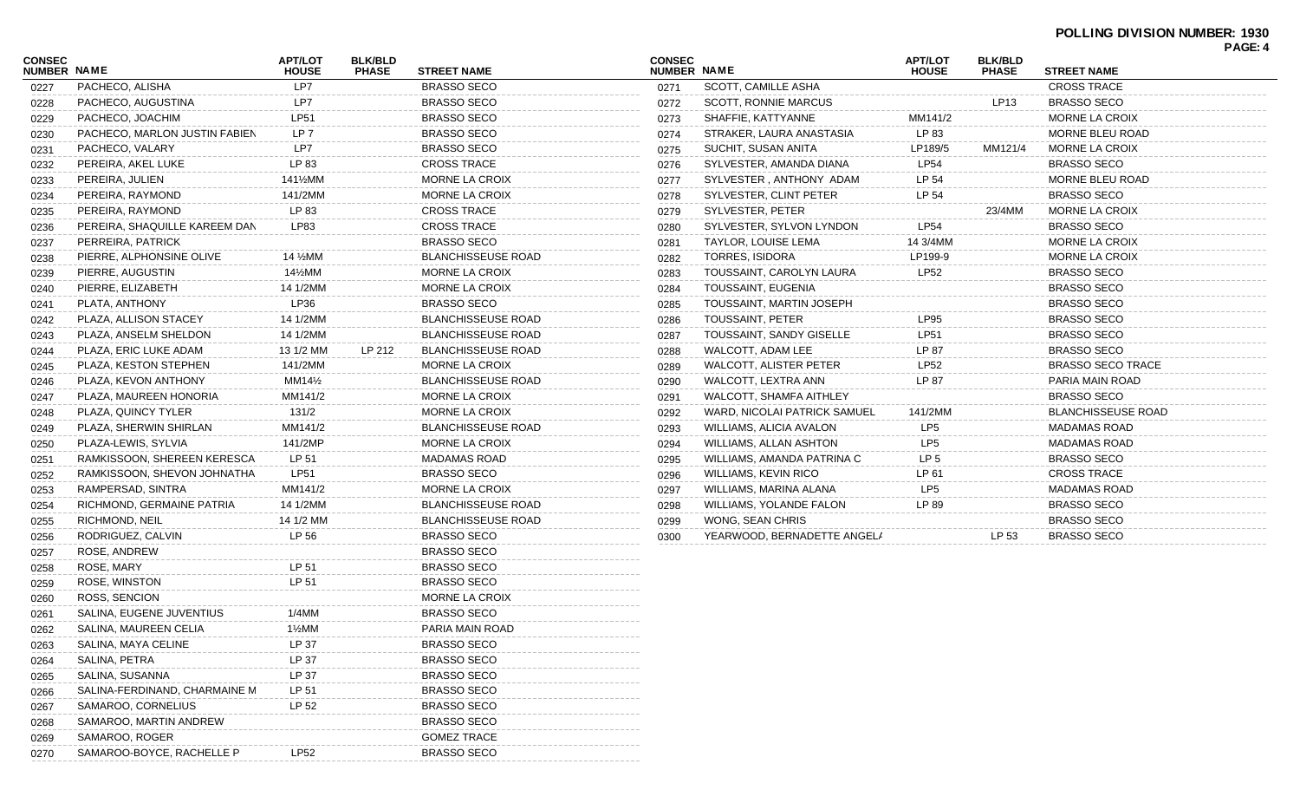## **POLLING DIVISION NUMBER: 1930**

|                              |                               |                         |                                |                           |               |                              |                                |                                |                        | PAGE: 4 |
|------------------------------|-------------------------------|-------------------------|--------------------------------|---------------------------|---------------|------------------------------|--------------------------------|--------------------------------|------------------------|---------|
| CONSEC<br><b>NUMBER NAME</b> |                               | APT/LOT<br><b>HOUSE</b> | <b>BLK/BLD</b><br><b>PHASE</b> | <b>STREET NAME</b>        | <b>CONSEC</b> | <b>NUMBER NAME</b>           | <b>APT/LOT</b><br><b>HOUSE</b> | <b>BLK/BLD</b><br><b>PHASE</b> | <b>STREET NAME</b>     |         |
| 0227                         | PACHECO, ALISHA               | LP7                     |                                | <b>BRASSO SECO</b>        | 0271          | SCOTT, CAMILLE ASHA          |                                |                                | <b>CROSS TRACE</b>     |         |
| 0228                         | PACHECO, AUGUSTINA            | LP7                     |                                | <b>BRASSO SECO</b>        | 0272          | <b>SCOTT, RONNIE MARCUS</b>  |                                | LP13                           | <b>BRASSO SECO</b>     |         |
| 0229                         | PACHECO, JOACHIM              | LP51                    |                                | <b>BRASSO SECO</b>        | 0273          | SHAFFIE, KATTYANNE           | MM141/2                        |                                | <b>MORNE LA CROIX</b>  |         |
| 0230                         | PACHECO, MARLON JUSTIN FABIEN | LP 7                    |                                | <b>BRASSO SECO</b>        | 0274          | STRAKER, LAURA ANASTASIA     | LP 83                          |                                | MORNE BLEU ROAD        |         |
| 0231                         | PACHECO, VALARY               | LP7                     |                                | <b>BRASSO SECO</b>        | 0275          | SUCHIT, SUSAN ANITA          | LP189/5                        | MM121/4                        | <b>MORNE LA CROIX</b>  |         |
| 0232                         | PEREIRA, AKEL LUKE            | LP 83                   |                                | <b>CROSS TRACE</b>        | 0276          | SYLVESTER, AMANDA DIANA      | LP54                           |                                | <b>BRASSO SECO</b>     |         |
| 0233                         | PEREIRA, JULIEN               | 141½MM                  |                                | MORNE LA CROIX            | 0277          | SYLVESTER, ANTHONY ADAM      | LP 54                          |                                | <b>MORNE BLEU ROAD</b> |         |
| 0234                         | PEREIRA, RAYMOND              | 141/2MM                 |                                | MORNE LA CROIX            | 0278          | SYLVESTER, CLINT PETER       | LP 54                          |                                | <b>BRASSO SECO</b>     |         |
| 0235                         | PEREIRA, RAYMOND              | LP 83                   |                                | <b>CROSS TRACE</b>        | 0279          | SYLVESTER, PETER             |                                | 23/4MM                         | <b>MORNE LA CROIX</b>  |         |
| 0236                         | PEREIRA, SHAQUILLE KAREEM DAN | LP83                    |                                | <b>CROSS TRACE</b>        | 0280          | SYLVESTER, SYLVON LYNDON     | LP54                           |                                | <b>BRASSO SECO</b>     |         |
| 0237                         | PERREIRA, PATRICK             |                         |                                | <b>BRASSO SECO</b>        | 0281          | TAYLOR, LOUISE LEMA          | 14 3/4MM                       |                                | MORNE LA CROIX         |         |
| 0238                         | PIERRE, ALPHONSINE OLIVE      | 14 %MM                  |                                | <b>BLANCHISSEUSE ROAD</b> | 0282          | TORRES, ISIDORA              | LP199-9                        |                                | MORNE LA CROIX         |         |
| 0239                         | PIERRE, AUGUSTIN              | 14½MM                   |                                | MORNE LA CROIX            | 0283          | TOUSSAINT, CAROLYN LAURA     | LP52                           |                                | <b>BRASSO SECO</b>     |         |
| 0240                         | PIERRE, ELIZABETH             | 14 1/2MM                |                                | <b>MORNE LA CROIX</b>     | 0284          | TOUSSAINT, EUGENIA           |                                |                                | <b>BRASSO SECO</b>     |         |
| 0241                         | PLATA, ANTHONY                | LP36                    |                                | <b>BRASSO SECO</b>        | 0285          | TOUSSAINT, MARTIN JOSEPH     |                                |                                | <b>BRASSO SECO</b>     |         |
| 0242                         | PLAZA, ALLISON STACEY         | 14 1/2MM                |                                | <b>BLANCHISSEUSE ROAD</b> | 0286          | TOUSSAINT, PETER             | LP95                           |                                | <b>BRASSO SECO</b>     |         |
| 0243                         | PLAZA, ANSELM SHELDON         | 14 1/2MM                |                                | <b>BLANCHISSEUSE ROAD</b> | 0287          | TOUSSAINT, SANDY GISELLE     | <b>LP51</b>                    |                                | <b>BRASSO SECO</b>     |         |
| 0244                         | PLAZA, ERIC LUKE ADAM         | 13 1/2 MM               | LP 212                         | <b>BLANCHISSEUSE ROAD</b> | 0288          | WALCOTT, ADAM LEE            | LP 87                          |                                | BRASSO SECO            |         |
| 0245                         | PLAZA, KESTON STEPHEN         | 141/2MM                 |                                | <b>MORNE LA CROIX</b>     | 0289          | WALCOTT, ALISTER PETER       | LP52                           |                                | BRASSO SECO TRACE      |         |
| 0246                         | PLAZA, KEVON ANTHONY          | MM14½                   |                                | <b>BLANCHISSEUSE ROAD</b> | 0290          | WALCOTT, LEXTRA ANN          | LP 87                          |                                | PARIA MAIN ROAD        |         |
| 0247                         | PLAZA, MAUREEN HONORIA        | MM141/2                 |                                | <b>MORNE LA CROIX</b>     | 0291          | WALCOTT, SHAMFA AITHLEY      |                                |                                | <b>BRASSO SECO</b>     |         |
| 0248                         | PLAZA, QUINCY TYLER           | 131/2                   |                                | MORNE LA CROIX            | 0292          | WARD, NICOLAI PATRICK SAMUEL | 141/2MM                        |                                | BLANCHISSEUSE ROAD     |         |
| 0249                         | PLAZA, SHERWIN SHIRLAN        | MM141/2                 |                                | <b>BLANCHISSEUSE ROAD</b> | 0293          | WILLIAMS, ALICIA AVALON      | LP <sub>5</sub>                |                                | <b>MADAMAS ROAD</b>    |         |
| 0250                         | PLAZA-LEWIS, SYLVIA           | 141/2MP                 |                                | MORNE LA CROIX            | 0294          | WILLIAMS, ALLAN ASHTON       | LP5                            |                                | <b>MADAMAS ROAD</b>    |         |
| 0251                         | RAMKISSOON, SHEREEN KERESCA   | LP 51                   |                                | <b>MADAMAS ROAD</b>       | 0295          | WILLIAMS, AMANDA PATRINA C   | LP 5                           |                                | <b>BRASSO SECO</b>     |         |
| 0252                         | RAMKISSOON, SHEVON JOHNATHA   | <b>LP51</b>             |                                | <b>BRASSO SECO</b>        | 0296          | WILLIAMS, KEVIN RICO         | LP 61                          |                                | <b>CROSS TRACE</b>     |         |
| 0253                         | RAMPERSAD, SINTRA             | MM141/2                 |                                | MORNE LA CROIX            | 0297          | WILLIAMS, MARINA ALANA       | LP <sub>5</sub>                |                                | <b>MADAMAS ROAD</b>    |         |
| 0254                         | RICHMOND, GERMAINE PATRIA     | 14 1/2MM                |                                | <b>BLANCHISSEUSE ROAD</b> | 0298          | WILLIAMS, YOLANDE FALON      | LP 89                          |                                | <b>BRASSO SECO</b>     |         |
| 0255                         | RICHMOND, NEIL                | 14 1/2 MM               |                                | <b>BLANCHISSEUSE ROAD</b> | 0299          | WONG, SEAN CHRIS             |                                |                                | <b>BRASSO SECO</b>     |         |
| 0256                         | RODRIGUEZ, CALVIN             | LP 56                   |                                | <b>BRASSO SECO</b>        | 0300          | YEARWOOD, BERNADETTE ANGELA  |                                | LP 53                          | BRASSO SECO            |         |
| 0257                         | ROSE, ANDREW                  |                         |                                | <b>BRASSO SECO</b>        |               |                              |                                |                                |                        |         |
| 0258                         | ROSE, MARY                    | LP 51                   |                                | <b>BRASSO SECO</b>        |               |                              |                                |                                |                        |         |
| 0259                         | ROSE, WINSTON                 | LP 51                   |                                | <b>BRASSO SECO</b>        |               |                              |                                |                                |                        |         |
| 0260                         | ROSS, SENCION                 |                         |                                | <b>MORNE LA CROIX</b>     |               |                              |                                |                                |                        |         |
| 0261                         | SALINA, EUGENE JUVENTIUS      | 1/4MM                   |                                | <b>BRASSO SECO</b>        |               |                              |                                |                                |                        |         |
| 0262                         | SALINA, MAUREEN CELIA         | 1½MM                    |                                | PARIA MAIN ROAD           |               |                              |                                |                                |                        |         |
| 0263                         | SALINA, MAYA CELINE           | LP 37                   |                                | <b>BRASSO SECO</b>        |               |                              |                                |                                |                        |         |
| 0264                         | SALINA, PETRA                 | LP 37                   |                                | <b>BRASSO SECO</b>        |               |                              |                                |                                |                        |         |
| 0265                         | SALINA, SUSANNA               | LP 37                   |                                | <b>BRASSO SECO</b>        |               |                              |                                |                                |                        |         |
| 0266                         | SALINA-FERDINAND, CHARMAINE M | LP 51                   |                                | <b>BRASSO SECO</b>        |               |                              |                                |                                |                        |         |
| 0267                         | SAMAROO, CORNELIUS            | LP 52                   |                                | <b>BRASSO SECO</b>        |               |                              |                                |                                |                        |         |
| 0268                         | SAMAROO, MARTIN ANDREW        |                         |                                | <b>BRASSO SECO</b>        |               |                              |                                |                                |                        |         |
| 0269                         | SAMAROO, ROGER                |                         |                                | <b>GOMEZ TRACE</b>        |               |                              |                                |                                |                        |         |
| 0270                         | SAMAROO-BOYCE, RACHELLE P     | LP52                    |                                | <b>BRASSO SECO</b>        |               |                              |                                |                                |                        |         |